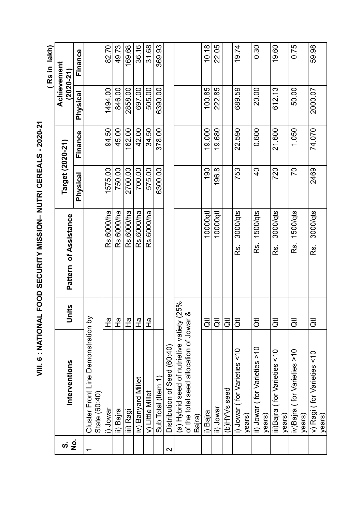|                          |                                                      |                           |                         |                  |         |          | (Rs in lakh)                 |
|--------------------------|------------------------------------------------------|---------------------------|-------------------------|------------------|---------|----------|------------------------------|
| ທ່                       | Interventions                                        | lnits                     | Pattern of Assistance   | Target (2020-21) |         |          | Achievement<br>$(2020 - 21)$ |
| o<br>N                   |                                                      |                           |                         | Physical         | Finance | Physical | Finance                      |
| $\overline{\phantom{0}}$ | Cluster Front Line Demonstration by<br>State (60:40) |                           |                         |                  |         |          |                              |
|                          | i) Jowar                                             | $\frac{\sigma}{\tau}$     | Rs.6000/ha              | 1575.00          | 94.50   | 1494.00  | 82.70                        |
|                          | ii) Bajra                                            | $\frac{1}{2}$             | Rs.6000/ha              | 750.00           | 45.00   | 846.00   | 49.73                        |
|                          | iii) Ragi                                            | $\frac{1}{4}$             | Rs.6000/ha              | 2700.00          | 162.00  | 2858.00  | 169.68                       |
|                          | iv) Banyard Millet                                   | 운                         | Rs.6000/ha              | 700.00           | 42.00   | 697.00   | 36.16                        |
|                          | v) Little Millet                                     | $\frac{1}{4}$             | Rs.6000/ha              | 575.00           | 34.50   | 505.00   | 31.68                        |
|                          | Sub Total (Item 1)                                   |                           |                         | 6300.00          | 378.00  | 6390.00  | 369.93                       |
| $\mathbf{\Omega}$        | Distribution of Seed (60:40)                         |                           |                         |                  |         |          |                              |
|                          | (a) Hybrid seed of nutrietive vatiety                | (25%                      |                         |                  |         |          |                              |
|                          | of the total seed allocation of Jowar                |                           |                         |                  |         |          |                              |
|                          | Baira)                                               |                           |                         |                  |         |          |                              |
|                          | i) Bajra                                             | $\overline{c}$            | 10000qtl                | 190              | 19.000  | 100.85   | 10.18                        |
|                          | ii) Jowar                                            | $\overline{\vec{c}}$      | 10000qt                 | 196.8            | 19.680  | 222.85   | 22.05                        |
|                          | (b)HYVs seed                                         | $\overline{5}$            |                         |                  |         |          |                              |
|                          | i) Jowar (for Varieties <10<br>years)                | ਹੋਂ                       | 3000/qts<br>Rs.         | 753              | 22.590  | 689.59   | 19.74                        |
|                          | ii) Jowar (for Varieties >10                         | $\overline{5}$            | 1500/qts<br><u>ks</u> . | $\frac{1}{2}$    | 0.600   | 20.00    | 0.30                         |
|                          | years)                                               |                           |                         |                  |         |          |                              |
|                          | iii)Bajra (for Varieties <10                         | $\overline{\vec{o}}$      | 3000/qts<br>Rs.         | 720              | 21.600  | 612.13   | 19.60                        |
|                          | years)                                               |                           |                         |                  |         |          |                              |
|                          | iv)Bajra (for Varieties >10<br>years)                | $\overline{5}$            | 1500/qts<br>Rs.         | 20               | 1.050   | 50.00    | 0.75                         |
|                          | v) Ragi (for Varieties <10<br>years)                 | $\overline{\overline{C}}$ | 3000/qts<br>Rs.         | 2469             | 74.070  | 2000.07  | 59.98                        |

VIII. 6 : NATIONAL FOOD SECURITY MISSION- NUTRI CEREALS - 2020-21 **VIII. 6 : NATIONAL FOOD SECURITY MISSION– NUTRI CEREALS - 2020-21**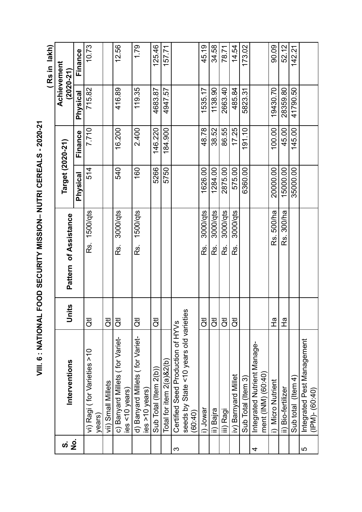VIII. 6 : NATIONAL FOOD SECURITY MISSION- NUTRI CEREALS - 2020-21 **VIII. 6 : NATIONAL FOOD SECURITY MISSION– NUTRI CEREALS - 2020-21**

(Rs in lakh) **( Rs in lakh)**

| <u>က</u> | Interventions                                        | nits<br>う      | Pattern of Assistance | Target (2020-21) |         | $(2020 - 21)$   | Achievement |
|----------|------------------------------------------------------|----------------|-----------------------|------------------|---------|-----------------|-------------|
| <u>ة</u> |                                                      |                |                       | Physical         | Finance | <b>Physical</b> | Finance     |
|          | vi) Ragi (for Varieties >10<br>years)                | $\overline{d}$ | Rs. 1500/qts          | 514              | 7.710   | 715.82          | 10.73       |
|          | vii) Small Millets                                   | ਨੋਂ            |                       |                  |         |                 |             |
|          | c) Banyard Millets (for Variet-<br>$ies < 10$ years) | $\overline{5}$ | 3000/qts<br>Rs.       | 540              | 16.200  | 416.89          | 12.56       |
|          | d) Banyard Millets (for Variet-<br>$ies$ >10 years)  | ਰੋ             | 1500/qts<br>Rs.       | 160              | 2.400   | 119.35          | 1.79        |
|          | Sub Total (Item 2(b))                                | ਨੋਂ            |                       | 5266             | 146.220 | 4683.87         | 125.46      |
|          | Total for item $2(a)$ & $2(b)$                       |                |                       | 5750             | 184.900 | 4947.57         | 157.71      |
| က        | Certified Seed Production of HYVs                    |                |                       |                  |         |                 |             |
|          | seeds by State <10 years old varieties<br>(60:40)    |                |                       |                  |         |                 |             |
|          | i) Jowar                                             | ਹੋਂ            | 3000/qts<br>Rs.       | 1626.00          | 48.78   | 1535.17         | 45.19       |
|          | ii) Bajra                                            | ਹੋਂ            | 3000/qts<br>Rs.       | 1284.00          | 38.52   | 1138.90         | 34.58       |
|          | iii) Ragi                                            | $\overline{c}$ | 3000/qts<br>Rs.       | 2875.00          | 86.55   | 2663.40         | 78.71       |
|          | iv) Barnyard Millet                                  | ਰੋਂ            | 3000/qts<br>œ.        | 575.00           | 17.25   | 485.84          | 14.54       |
|          | Sub Total (Item 3)                                   |                |                       | 6360.00          | 191.10  | 5823.31         | 173.02      |
| 4        | Integrated Nutrient Manage-<br>ment (INM) (60:40)    |                |                       |                  |         |                 |             |
|          | i) Micro Nutrient                                    | 운              | Rs. 500/ha            | 20000.00         | 100.00  | 19430.70        | 90.09       |
|          | ii) Bio-fertilizer                                   | 오<br>도         | 300/ha<br><u>ര്.</u>  | 15000.00         | 45.00   | 28359.80        | 52.12       |
|          | Sub total (Item 4)                                   |                |                       | 35000.00         | 145.00  | 41790.50        | 142.21      |
| 5        | Integrated Pest Management<br>$(1PM)-(60.40)$        |                |                       |                  |         |                 |             |